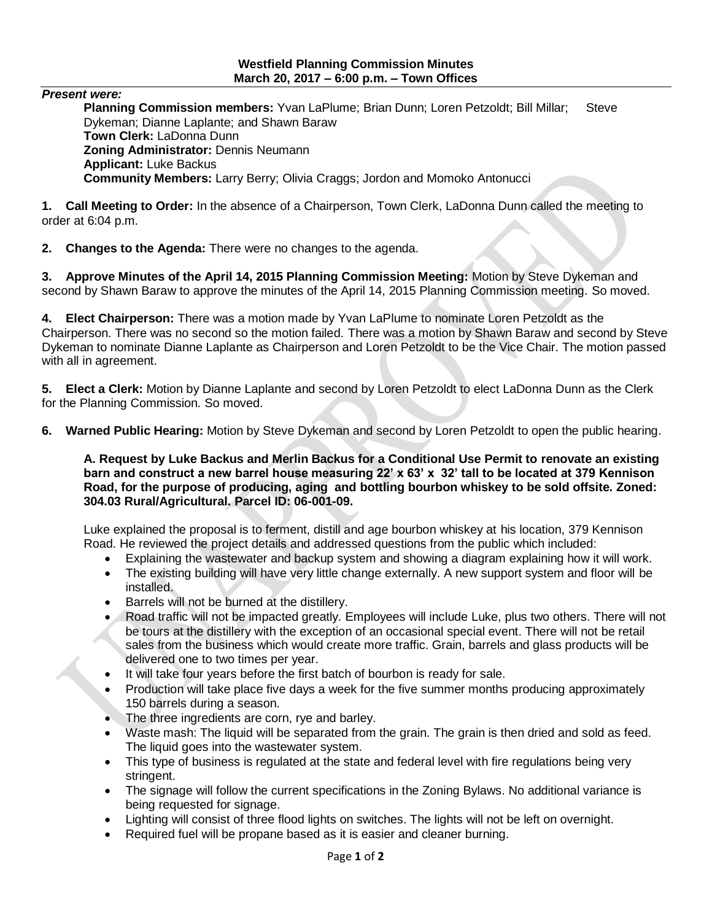## **Westfield Planning Commission Minutes March 20, 2017 – 6:00 p.m. – Town Offices**

*Present were:*

Planning Commission members: Yvan LaPlume; Brian Dunn; Loren Petzoldt; Bill Millar; Steve Dykeman; Dianne Laplante; and Shawn Baraw **Town Clerk:** LaDonna Dunn **Zoning Administrator:** Dennis Neumann **Applicant:** Luke Backus **Community Members:** Larry Berry; Olivia Craggs; Jordon and Momoko Antonucci

**1. Call Meeting to Order:** In the absence of a Chairperson, Town Clerk, LaDonna Dunn called the meeting to order at 6:04 p.m.

**2. Changes to the Agenda:** There were no changes to the agenda.

**3. Approve Minutes of the April 14, 2015 Planning Commission Meeting:** Motion by Steve Dykeman and second by Shawn Baraw to approve the minutes of the April 14, 2015 Planning Commission meeting. So moved.

**4. Elect Chairperson:** There was a motion made by Yvan LaPlume to nominate Loren Petzoldt as the Chairperson. There was no second so the motion failed. There was a motion by Shawn Baraw and second by Steve Dykeman to nominate Dianne Laplante as Chairperson and Loren Petzoldt to be the Vice Chair. The motion passed with all in agreement.

**5. Elect a Clerk:** Motion by Dianne Laplante and second by Loren Petzoldt to elect LaDonna Dunn as the Clerk for the Planning Commission. So moved.

**6. Warned Public Hearing:** Motion by Steve Dykeman and second by Loren Petzoldt to open the public hearing.

**A. Request by Luke Backus and Merlin Backus for a Conditional Use Permit to renovate an existing barn and construct a new barrel house measuring 22' x 63' x 32' tall to be located at 379 Kennison Road, for the purpose of producing, aging and bottling bourbon whiskey to be sold offsite. Zoned: 304.03 Rural/Agricultural. Parcel ID: 06-001-09.** 

Luke explained the proposal is to ferment, distill and age bourbon whiskey at his location, 379 Kennison Road. He reviewed the project details and addressed questions from the public which included:

- Explaining the wastewater and backup system and showing a diagram explaining how it will work.
- The existing building will have very little change externally. A new support system and floor will be installed.
- Barrels will not be burned at the distillery.
- Road traffic will not be impacted greatly. Employees will include Luke, plus two others. There will not be tours at the distillery with the exception of an occasional special event. There will not be retail sales from the business which would create more traffic. Grain, barrels and glass products will be delivered one to two times per year.
- It will take four years before the first batch of bourbon is ready for sale.
- Production will take place five days a week for the five summer months producing approximately 150 barrels during a season.
- The three ingredients are corn, rye and barley.
- Waste mash: The liquid will be separated from the grain. The grain is then dried and sold as feed. The liquid goes into the wastewater system.
- This type of business is regulated at the state and federal level with fire regulations being very stringent.
- The signage will follow the current specifications in the Zoning Bylaws. No additional variance is being requested for signage.
- Lighting will consist of three flood lights on switches. The lights will not be left on overnight.
- Required fuel will be propane based as it is easier and cleaner burning.